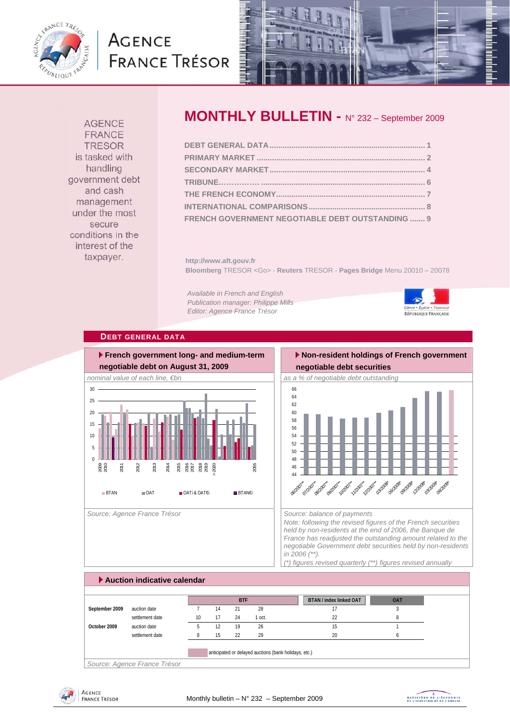

# **AGENCE FRANCE TRÉSOR**



**AGENCE FRANCE TRESOR** is tasked with handling government debt and cash management under the most secure conditions in the interest of the taxpayer.

# **MONTHLY BULLETIN -** N° 232 – September 2009

| FRENCH GOVERNMENT NEGOTIABLE DEBT OUTSTANDING  9 |  |
|--------------------------------------------------|--|

**http://www.aft.gouv.fr Bloomberg** TRESOR <Go> - **Reuters** TRESOR - **Pages Bridge** Menu 20010 – 20078

*Available in French and English Publication manager: Philippe Mills Editor: Agence France Trésor* 



### **DEBT GENERAL DATA**



**negotiable debt securities** 

 **Non-resident holdings of French government** 



*Note: following the revised figures of the French securities held by non-residents at the end of 2006, the Banque de France has readjusted the outstanding amount related to the negotiable Government debt securities held by non-residents in 2006 (\*\*). (\*) figures revised quarterly (\*\*) figures revised annually* 

| Auction indicative calendar |                              |                 |    |            |                                                       |  |                                |            |  |
|-----------------------------|------------------------------|-----------------|----|------------|-------------------------------------------------------|--|--------------------------------|------------|--|
|                             |                              |                 |    |            |                                                       |  |                                |            |  |
|                             |                              |                 |    | <b>BTF</b> |                                                       |  | <b>BTAN / index linked OAT</b> | <b>OAT</b> |  |
| September 2009              | auction date                 |                 | 14 | 21         | 28                                                    |  | 17                             |            |  |
|                             | settlement date              | 10 <sup>1</sup> | 17 | 24         | 1 oct.                                                |  | 22                             |            |  |
| October 2009                | auction date                 |                 | 12 | 19         | 26                                                    |  | 15                             |            |  |
|                             | settlement date              |                 | 15 | 22         | 29                                                    |  | 20                             |            |  |
|                             |                              |                 |    |            | anticipated or delayed auctions (bank holidays, etc.) |  |                                |            |  |
|                             |                              |                 |    |            |                                                       |  |                                |            |  |
|                             | Source: Agence France Trésor |                 |    |            |                                                       |  |                                |            |  |



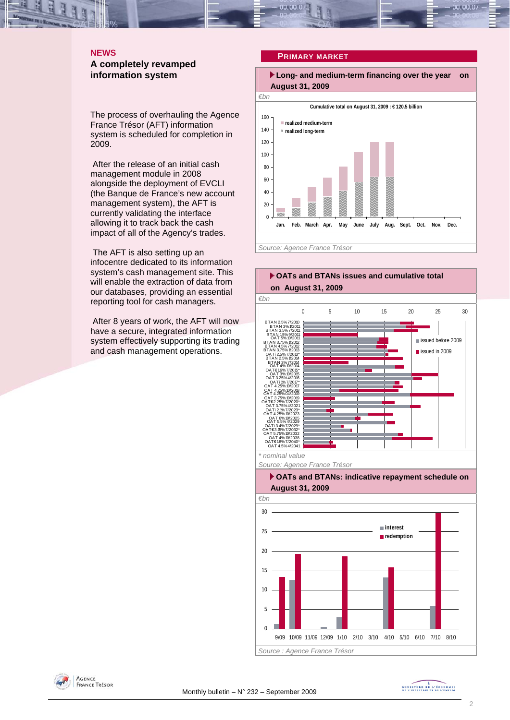### **NEWS A completely revamped information system**

The process of overhauling the Agence France Trésor (AFT) information system is scheduled for completion in 2009.

 After the release of an initial cash management module in 2008 alongside the deployment of EVCLI (the Banque de France's new account management system), the AFT is currently validating the interface allowing it to track back the cash impact of all of the Agency's trades.

 The AFT is also setting up an infocentre dedicated to its information system's cash management site. This will enable the extraction of data from our databases, providing an essential reporting tool for cash managers.

 After 8 years of work, the AFT will now have a secure, integrated information system effectively supporting its trading and cash management operations.

### **PRIMARY MARKET**

 **Long- and medium-term financing over the year on August 31, 2009** 





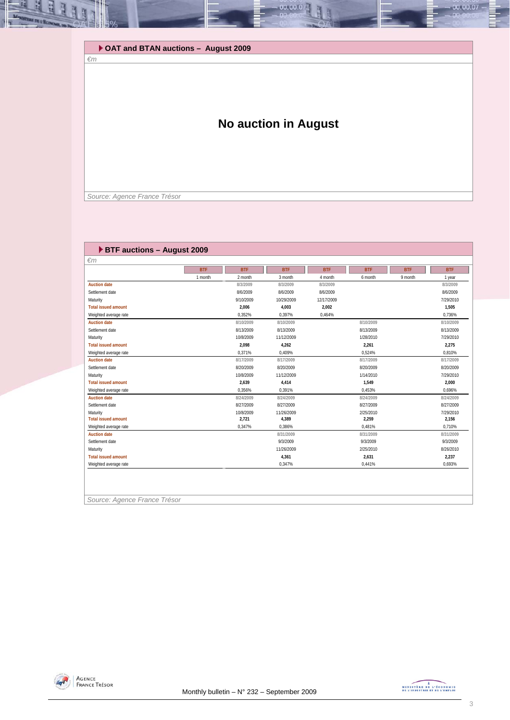**OAT and BTAN auctions – August 2009** 

## **No auction in August**

00.00.0

 *Source: Agence France Trésor* 

*€m* 

| $\epsilon$ m               |            |            |            |            |            |            |            |
|----------------------------|------------|------------|------------|------------|------------|------------|------------|
|                            | <b>BTF</b> | <b>BTF</b> | <b>BTF</b> | <b>BTF</b> | <b>BTF</b> | <b>BTF</b> | <b>BTF</b> |
|                            | 1 month    | 2 month    | 3 month    | 4 month    | 6 month    | 9 month    | 1 year     |
| <b>Auction date</b>        |            | 8/3/2009   | 8/3/2009   | 8/3/2009   |            |            | 8/3/2009   |
| Settlement date            |            | 8/6/2009   | 8/6/2009   | 8/6/2009   |            |            | 8/6/2009   |
| Maturity                   |            | 9/10/2009  | 10/29/2009 | 12/17/2009 |            |            | 7/29/2010  |
| <b>Total issued amount</b> |            | 2,006      | 4,003      | 2,002      |            |            | 1,505      |
| Weighted average rate      |            | 0,352%     | 0,397%     | 0,464%     |            |            | 0,736%     |
| <b>Auction date</b>        |            | 8/10/2009  | 8/10/2009  |            | 8/10/2009  |            | 8/10/2009  |
| Settlement date            |            | 8/13/2009  | 8/13/2009  |            | 8/13/2009  |            | 8/13/2009  |
| Maturity                   |            | 10/8/2009  | 11/12/2009 |            | 1/28/2010  |            | 7/29/2010  |
| <b>Total issued amount</b> |            | 2,098      | 4,262      |            | 2.261      |            | 2.275      |
| Weighted average rate      |            | 0,371%     | 0,409%     |            | 0,524%     |            | 0,810%     |
| <b>Auction date</b>        |            | 8/17/2009  | 8/17/2009  |            | 8/17/2009  |            | 8/17/2009  |
| Settlement date            |            | 8/20/2009  | 8/20/2009  |            | 8/20/2009  |            | 8/20/2009  |
| Maturity                   |            | 10/8/2009  | 11/12/2009 |            | 1/14/2010  |            | 7/29/2010  |
| <b>Total issued amount</b> |            | 2,639      | 4,414      |            | 1,549      |            | 2,000      |
| Weighted average rate      |            | 0.356%     | 0,391%     |            | 0.453%     |            | 0,696%     |
| <b>Auction date</b>        |            | 8/24/2009  | 8/24/2009  |            | 8/24/2009  |            | 8/24/2009  |
| Settlement date            |            | 8/27/2009  | 8/27/2009  |            | 8/27/2009  |            | 8/27/2009  |
| Maturity                   |            | 10/8/2009  | 11/26/2009 |            | 2/25/2010  |            | 7/29/2010  |
| <b>Total issued amount</b> |            | 2,721      | 4,389      |            | 2,259      |            | 2,156      |
| Weighted average rate      |            | 0,347%     | 0.386%     |            | 0.481%     |            | 0.710%     |
| <b>Auction date</b>        |            |            | 8/31/2009  |            | 8/31/2009  |            | 8/31/2009  |
| Settlement date            |            |            | 9/3/2009   |            | 9/3/2009   |            | 9/3/2009   |
| Maturity                   |            |            | 11/26/2009 |            | 2/25/2010  |            | 8/26/2010  |
| <b>Total issued amount</b> |            |            | 4,361      |            | 2,631      |            | 2,237      |
| Weighted average rate      |            |            | 0,347%     |            | 0,441%     |            | 0,693%     |



00.00.07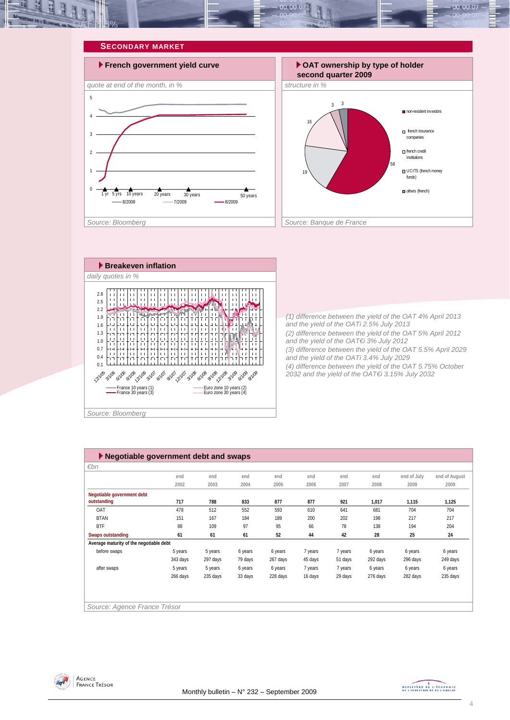

#### **SECONDARY MARKET**







*(1) difference between the yield of the OAT 4% April 2013 and the yield of the OATi 2.5% July 2013 (2) difference between the yield of the OAT 5% April 2012 and the yield of the OAT€i 3% July 2012 (3) difference between the yield of the OAT 5.5% April 2029 and the yield of the OATi 3.4% July 2029 (4) difference between the yield of the OAT 5.75% October 2032 and the yield of the OAT€i 3.15% July 2032* 

| $\blacktriangleright$ Negotiable government debt and swaps |          |          |         |          |         |         |          |             |               |
|------------------------------------------------------------|----------|----------|---------|----------|---------|---------|----------|-------------|---------------|
| $\varepsilon$ bn                                           |          |          |         |          |         |         |          |             |               |
|                                                            | end      | end      | end     | end      | end     | end     | end      | end of July | end of August |
|                                                            | 2002     | 2003     | 2004    | 2005     | 2006    | 2007    | 2008     | 2009        | 2009          |
| Negotiable government debt                                 |          |          |         |          |         |         |          |             |               |
| outstanding                                                | 717      | 788      | 833     | 877      | 877     | 921     | 1,017    | 1,115       | 1,125         |
| OAT                                                        | 478      | 512      | 552     | 593      | 610     | 641     | 681      | 704         | 704           |
| <b>BTAN</b>                                                | 151      | 167      | 184     | 189      | 200     | 202     | 198      | 217         | 217           |
| <b>BTF</b>                                                 | 88       | 109      | 97      | 95       | 66      | 78      | 138      | 194         | 204           |
| Swaps outstanding                                          | 61       | 61       | 61      | 52       | 44      | 42      | 28       | 25          | 24            |
| Average maturity of the negotiable debt                    |          |          |         |          |         |         |          |             |               |
| before swaps                                               | 5 years  | 5 years  | 6 years | 6 years  | 7 years | 7 years | 6 years  | 6 years     | 6 years       |
|                                                            | 343 days | 297 days | 79 days | 267 days | 45 days | 51 days | 292 days | 296 days    | 249 days      |
| after swaps                                                | 5 years  | 5 years  | 6 years | 6 years  | 7 years | 7 years | 6 years  | 6 years     | 6 years       |
|                                                            | 266 days | 235 days | 33 days | 228 days | 16 days | 29 days | 276 days | 282 days    | 235 days      |
|                                                            |          |          |         |          |         |         |          |             |               |
|                                                            |          |          |         |          |         |         |          |             |               |
| Source: Agence France Trésor                               |          |          |         |          |         |         |          |             |               |



MINISTRE DE L'ÉCONOMIE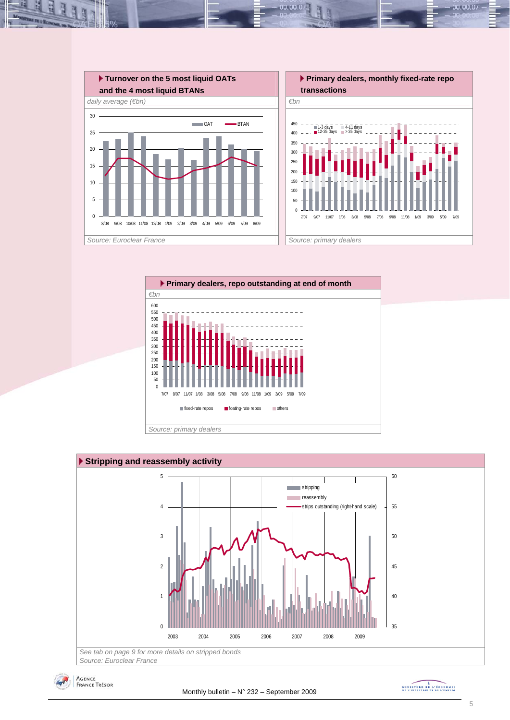

 $00.00.0$ 





*Source: Euroclear France* 



MINISTÈRE DE L'ÉCONOMIE<br>DE L'INDUSTRIE ET DE L'EMPLOI

00.00.07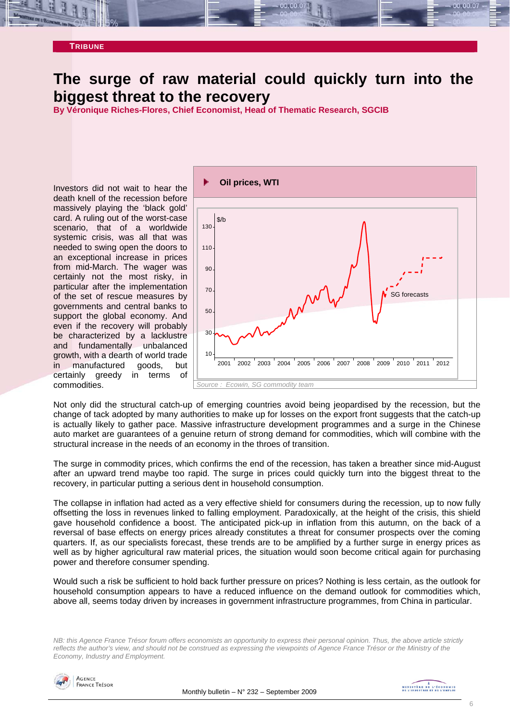

## **The surge of raw material could quickly turn into the biggest threat to the recovery**

**By Véronique Riches-Flores, Chief Economist, Head of Thematic Research, SGCIB** 

Investors did not wait to hear the death knell of the recession before massively playing the 'black gold' card. A ruling out of the worst-case scenario, that of a worldwide systemic crisis, was all that was needed to swing open the doors to an exceptional increase in prices from mid-March. The wager was certainly not the most risky, in particular after the implementation of the set of rescue measures by governments and central banks to support the global economy. And even if the recovery will probably be characterized by a lacklustre and fundamentally unbalanced growth, with a dearth of world trade in manufactured goods, but certainly greedy in terms of commodities.



Not only did the structural catch-up of emerging countries avoid being jeopardised by the recession, but the change of tack adopted by many authorities to make up for losses on the export front suggests that the catch-up is actually likely to gather pace. Massive infrastructure development programmes and a surge in the Chinese auto market are guarantees of a genuine return of strong demand for commodities, which will combine with the structural increase in the needs of an economy in the throes of transition.

The surge in commodity prices, which confirms the end of the recession, has taken a breather since mid-August after an upward trend maybe too rapid. The surge in prices could quickly turn into the biggest threat to the recovery, in particular putting a serious dent in household consumption.

The collapse in inflation had acted as a very effective shield for consumers during the recession, up to now fully offsetting the loss in revenues linked to falling employment. Paradoxically, at the height of the crisis, this shield gave household confidence a boost. The anticipated pick-up in inflation from this autumn, on the back of a reversal of base effects on energy prices already constitutes a threat for consumer prospects over the coming quarters. If, as our specialists forecast, these trends are to be amplified by a further surge in energy prices as well as by higher agricultural raw material prices, the situation would soon become critical again for purchasing power and therefore consumer spending.

Would such a risk be sufficient to hold back further pressure on prices? Nothing is less certain, as the outlook for household consumption appears to have a reduced influence on the demand outlook for commodities which, above all, seems today driven by increases in government infrastructure programmes, from China in particular.

*NB: this Agence France Trésor forum offers economists an opportunity to express their personal opinion. Thus, the above article strictly reflects the author's view, and should not be construed as expressing the viewpoints of Agence France Trésor or the Ministry of the Economy, Industry and Employment.* 

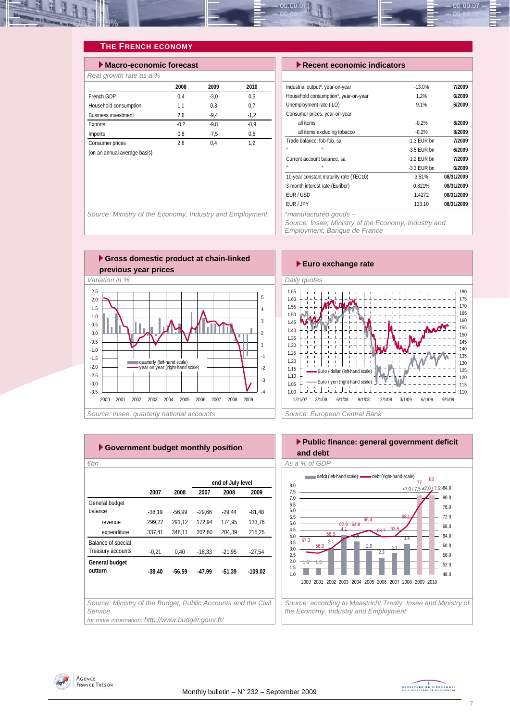

### **THE FRENCH ECONOMY**

| Macro-economic forecast      |        |        |        |  |  |  |  |
|------------------------------|--------|--------|--------|--|--|--|--|
| Real growth rate as a %      |        |        |        |  |  |  |  |
|                              | 2008   | 2009   | 2010   |  |  |  |  |
| French GDP                   | 0.4    | $-3.0$ | 0.5    |  |  |  |  |
| Household consumption        | 1,1    | 0.3    | 0,7    |  |  |  |  |
| <b>Business investment</b>   | 2,6    | $-9.4$ | $-1,2$ |  |  |  |  |
| Exports                      | $-0.2$ | $-9.8$ | $-0.9$ |  |  |  |  |
| Imports                      | 0.8    | $-7.5$ | 0.6    |  |  |  |  |
| Consumer prices              | 2.8    | 0.4    | 1.2    |  |  |  |  |
| (on an annual average basis) |        |        |        |  |  |  |  |
|                              |        |        |        |  |  |  |  |

#### **Execent economic indicators**

| Industrial output*, year-on-year       | $-13.0%$      | 7/2009     |
|----------------------------------------|---------------|------------|
| Household consumption*, year-on-year   | 1.2%          | 6/2009     |
| Unemployment rate (ILO)                | 9.1%          | 6/2009     |
| Consumer prices, year-on-year          |               |            |
| all items                              | $-0.2%$       | 8/2009     |
| all items excluding tobacco            | $-0.2%$       | 8/2009     |
| Trade balance, fob-fob, sa             | $-1.3$ FUR bn | 7/2009     |
| п<br>u                                 | $-3.5$ FUR bn | 6/2009     |
| Current account balance, sa            | $-1.2$ FUR bn | 7/2009     |
| u<br>п                                 | $-3.3$ FUR bn | 6/2009     |
| 10-year constant maturity rate (TEC10) | 3.51%         | 08/31/2009 |
| 3-month interest rate (Euribor)        | 0.821%        | 08/31/2009 |
| FUR/USD                                | 1.4272        | 08/31/2009 |
| FUR / JPY                              | 133.10        | 08/31/2009 |
| *manufactured goods -                  |               |            |

Source: Ministry of the Economy, Industry and Employment

*Source: Insee; Ministry of the Economy, Industry and Employment; Banque de France* 







| €bn      |          |                   |          |                                                                                                                   |  |  |  |  |  |  |
|----------|----------|-------------------|----------|-------------------------------------------------------------------------------------------------------------------|--|--|--|--|--|--|
|          |          | end of July level |          |                                                                                                                   |  |  |  |  |  |  |
| 2007     | 2008     | 2007              | 2008     | 2009                                                                                                              |  |  |  |  |  |  |
|          |          |                   |          |                                                                                                                   |  |  |  |  |  |  |
| $-38,19$ | $-56.99$ | $-29.66$          | $-29,44$ | $-81,48$                                                                                                          |  |  |  |  |  |  |
| 299,22   | 291,12   | 172,94            | 174,95   | 133,76                                                                                                            |  |  |  |  |  |  |
| 337,41   | 348,11   | 202,60            | 204,39   | 215,25                                                                                                            |  |  |  |  |  |  |
|          |          |                   |          |                                                                                                                   |  |  |  |  |  |  |
| $-0,21$  | 0,40     | $-18,33$          | $-21,95$ | $-27,54$                                                                                                          |  |  |  |  |  |  |
|          |          |                   |          |                                                                                                                   |  |  |  |  |  |  |
| $-38.40$ | $-56.59$ | $-47.99$          | $-51.39$ | $-109.02$                                                                                                         |  |  |  |  |  |  |
|          |          |                   |          |                                                                                                                   |  |  |  |  |  |  |
|          |          |                   |          |                                                                                                                   |  |  |  |  |  |  |
|          |          |                   |          |                                                                                                                   |  |  |  |  |  |  |
|          |          |                   |          |                                                                                                                   |  |  |  |  |  |  |
|          |          |                   |          | Source: Ministry of the Budget, Public Accounts and the Civil<br>for more information: http://www.budget.gouv.fr/ |  |  |  |  |  |  |

### **Public finance: general government deficit and debt**  *€bn As a % of GDP*



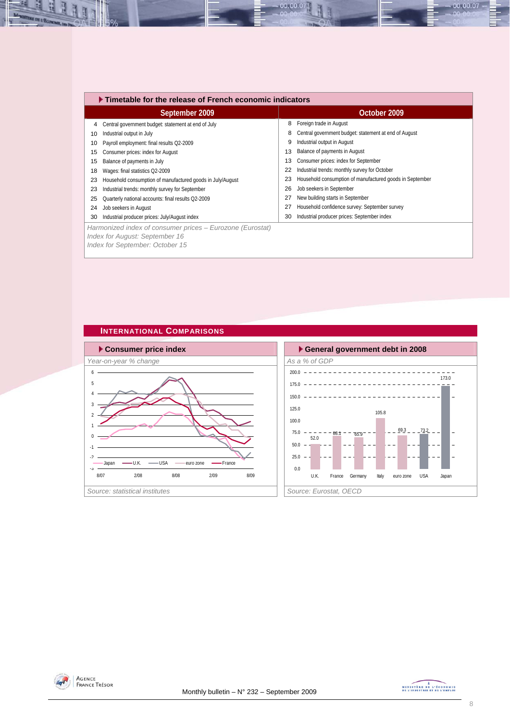|    | $\blacktriangleright$ Timetable for the release of French economic indicators               |    |                                                          |
|----|---------------------------------------------------------------------------------------------|----|----------------------------------------------------------|
|    | September 2009                                                                              |    | October 2009                                             |
| 4  | Central government budget: statement at end of July                                         | 8  | Foreign trade in August                                  |
| 10 | Industrial output in July                                                                   | 8  | Central government budget: statement at end of August    |
| 10 | Payroll employment: final results Q2-2009                                                   | 9  | Industrial output in August                              |
| 15 | Consumer prices: index for August                                                           | 13 | Balance of payments in August                            |
| 15 | Balance of payments in July                                                                 | 13 | Consumer prices: index for September                     |
| 18 | Wages: final statistics Q2-2009                                                             | 22 | Industrial trends: monthly survey for October            |
| 23 | Household consumption of manufactured goods in July/August                                  | 23 | Household consumption of manufactured goods in September |
| 23 | Industrial trends: monthly survey for September                                             | 26 | Job seekers in September                                 |
| 25 | Quarterly national accounts: final results Q2-2009                                          | 27 | New building starts in September                         |
| 24 | Job seekers in August                                                                       | 27 | Household confidence survey: September survey            |
| 30 | Industrial producer prices: July/August index                                               | 30 | Industrial producer prices: September index              |
|    | Harmonized index of consumer prices – Eurozone (Eurostat)<br>Index for August: September 16 |    |                                                          |

00.00.0

*Index for September: October 15* 

# **INTERNATIONAL COMPARISONS**





00.00.07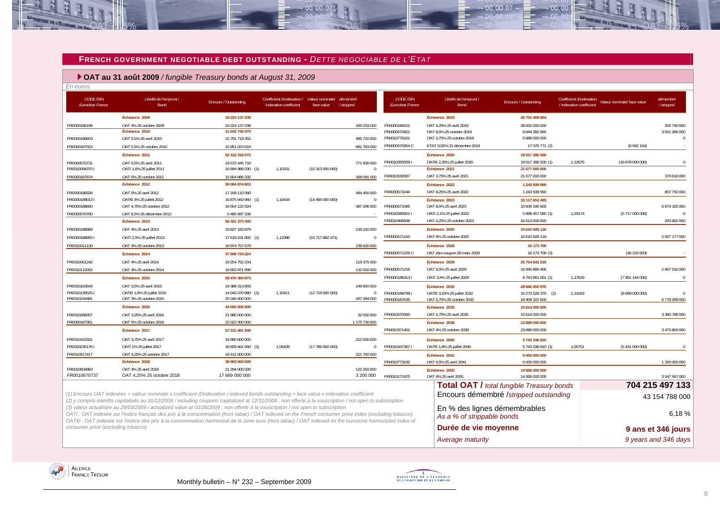#### **FRENCH GOVERNMENT NEGOTIABLE DEBT OUTSTANDING -** *DETTE NEGOCIABLE DE L'ETAT*

 $-00,00,07$ 

### **OAT au 31 août 2009** */ fungible Treasury bonds at August 31, 2009*

| . | . |
|---|---|
|   |   |
|   |   |

-11

**OF IN L'ECONOMIA** 

ž.

| <b>CODE ISIN</b><br><b>Euroclear France</b> | Libellé de l'emprunt /<br>Bond                                                                                                                                                                                                                                                                                                                                                                                                                 | Encours / Outstanding                | Coefficient d'indexation /<br>indexation coefficient | Valeur nominale/ démembré<br>face value | /stripped                   | <b>CODE ISIN</b><br>Euroclear France | Libellé de l'emprunt /<br>Bond                             | Encours / Outstanding                            | Coefficient d'indexation<br>/ indexation coefficient | Valeur nominale/ face value | démembré<br>/stripped     |
|---------------------------------------------|------------------------------------------------------------------------------------------------------------------------------------------------------------------------------------------------------------------------------------------------------------------------------------------------------------------------------------------------------------------------------------------------------------------------------------------------|--------------------------------------|------------------------------------------------------|-----------------------------------------|-----------------------------|--------------------------------------|------------------------------------------------------------|--------------------------------------------------|------------------------------------------------------|-----------------------------|---------------------------|
|                                             | Échéance 2009                                                                                                                                                                                                                                                                                                                                                                                                                                  | 19 224 137 038                       |                                                      |                                         |                             |                                      | Échéance 2019                                              | 42 751 468 664                                   |                                                      |                             |                           |
| FR0000186199                                | OAT 4% 25 octobre 2009                                                                                                                                                                                                                                                                                                                                                                                                                         | 19 224 137 038                       |                                                      |                                         | 435 533 000                 | FR0000189151                         | OAT 4.25% 25 avril 2019                                    | 28 002 000 000                                   |                                                      |                             | 202 790 000               |
|                                             | Échéance 2010                                                                                                                                                                                                                                                                                                                                                                                                                                  | 31 642 742 970                       |                                                      |                                         |                             | FR0000570921<br>FR0010776161         | OAT 8,5% 25 octobre 2019                                   | 8 844 392 893<br>5 888 000 000                   |                                                      |                             | 3 921 286 000<br>$\Omega$ |
| FR0000186603                                | OAT 5.5% 25 avril 2010                                                                                                                                                                                                                                                                                                                                                                                                                         | 15 791 719 352                       |                                                      |                                         | 495 720 000                 | FR0000570954 C                       | OAT 3,75% 25 octobre 2019<br>ETAT 9.82% 31 décembre 2019   | 17 075 771 (2)                                   |                                                      | (6692154)                   |                           |
| FR0000187023                                | OAT 5.5% 25 octobre 2010<br>Échéance 2011                                                                                                                                                                                                                                                                                                                                                                                                      | 15 851 023 618<br>52 122 318 072     |                                                      |                                         | 881 783 000                 |                                      |                                                            |                                                  |                                                      |                             |                           |
|                                             | OAT 6.5% 25 avril 2011                                                                                                                                                                                                                                                                                                                                                                                                                         | 19 572 445 710                       |                                                      |                                         |                             | FR0010050559                         | Échéance 2020<br>OATEi 2,25% 25 juillet 2020               | 19 017 286 500<br>19 017 286 500 (1)             | 1,12675                                              | (16878000000)               |                           |
| FR0000570731<br>FR00100943751               | OATi 1,6% 25 juillet 2011                                                                                                                                                                                                                                                                                                                                                                                                                      | 16 894 986 030 (1)                   | 1,10331                                              | (15 313 000 000)                        | 771 930 000<br>$\Omega$     |                                      | Échéance 2021                                              | 21 677 000 000                                   |                                                      |                             |                           |
| FR0000187874                                | OAT 5% 25 octobre 2011                                                                                                                                                                                                                                                                                                                                                                                                                         | 15 654 886 332                       |                                                      |                                         | 309 091 000                 | FR0010192997                         | OAT 3,75% 25 avril 2021                                    | 21 677 000 000                                   |                                                      |                             | 370 618 000               |
|                                             | Échéance 2012                                                                                                                                                                                                                                                                                                                                                                                                                                  | 59 084 874 803                       |                                                      |                                         |                             |                                      | Échéance 2022                                              | 1 243 939 990                                    |                                                      |                             |                           |
| FR0000188328                                | OAT 5% 25 avril 2012                                                                                                                                                                                                                                                                                                                                                                                                                           | 17 169 110 580                       |                                                      |                                         | 494 450 000                 | FR0000571044                         | OAT 8.25% 25 avril 2022                                    | 1 243 939 990                                    |                                                      |                             | 807 750 000               |
| FR00001880131                               | OATEI 3% 25 juillet 2012                                                                                                                                                                                                                                                                                                                                                                                                                       | 16 875 943 960 (1)                   | 1,16434                                              | (14 494 000 000)                        | $\Omega$                    |                                      | Échéance 2023                                              | 33 117 653 483                                   |                                                      |                             |                           |
| FR0000188690                                | OAT 4,75% 25 octobre 2012                                                                                                                                                                                                                                                                                                                                                                                                                      | 19 554 122 924                       |                                                      |                                         | 387 296 000                 | FR0000571085                         | OAT 8,5% 25 avril 2023                                     | 10 606 195 903                                   |                                                      |                             | 6 873 325 000             |
| FR0000570780                                | OAT 8,5% 26 décembre 2012                                                                                                                                                                                                                                                                                                                                                                                                                      | 5 485 697 339                        |                                                      |                                         |                             | FR0010585901                         | OATi 2,1% 25 juillet 2023                                  | 5 898 457 580 (1)                                | 1,03174                                              | (5717000000)                | $\Omega$                  |
|                                             | Échéance 2013                                                                                                                                                                                                                                                                                                                                                                                                                                  | 56 421 373 450                       |                                                      |                                         |                             | FR0010466938                         | OAT 4,25% 25 octobre 2023                                  | 16 613 000 000                                   |                                                      |                             | 293 902 000               |
| FR0000188989                                | OAT 4% 25 avril 2013                                                                                                                                                                                                                                                                                                                                                                                                                           | 19 827 183 879                       |                                                      |                                         | 139 150 000                 |                                      | Échéance 2025                                              | 10 610 928 118                                   |                                                      |                             |                           |
| FR00001889551                               | OATi 2,5% 25 juillet 2013                                                                                                                                                                                                                                                                                                                                                                                                                      | 17 619 431 892 (1)                   | 1,12098                                              | (15717882471)                           | $\Omega$                    | FR0000571150                         | OAT 6% 25 octobre 2025                                     | 10 610 928 118                                   |                                                      |                             | 2 927 177 000             |
| FR0010011130                                | OAT 4% 25 octobre 2013                                                                                                                                                                                                                                                                                                                                                                                                                         | 18 974 757 679                       |                                                      |                                         | 238 620 000                 |                                      | Échéance 2028                                              | 16 173 709                                       |                                                      |                             |                           |
|                                             | Échéance 2014                                                                                                                                                                                                                                                                                                                                                                                                                                  | 37 908 724 224                       |                                                      |                                         |                             | FR0000571226 C                       | OAT zéro coupon 28 mars 2028                               | 16 173 709 (3)                                   |                                                      | (46232603)                  |                           |
| FR0010061242                                | OAT 4% 25 avril 2014                                                                                                                                                                                                                                                                                                                                                                                                                           | 19 254 752 234                       |                                                      |                                         | 119 375 000                 |                                      | Échéance 2029                                              | 25 754 841 519                                   |                                                      |                             |                           |
| FR0010112052                                | OAT 4% 25 octobre 2014                                                                                                                                                                                                                                                                                                                                                                                                                         | 18 653 971 990                       |                                                      |                                         | 132 550 000                 | FR0000571218                         | OAT 5,5% 25 avril 2029                                     | 16 990 880 458                                   |                                                      |                             | 2 667 516 000             |
|                                             | Échéance 2015                                                                                                                                                                                                                                                                                                                                                                                                                                  | 58 470 384 873                       |                                                      |                                         |                             | FR00001864131                        | OATi 3,4% 25 juillet 2029                                  | 8763961061 (1)                                   | 1,17619                                              | (7451144000)                | $\Omega$                  |
| FR0010163543                                | OAT 3.5% 25 avril 2015                                                                                                                                                                                                                                                                                                                                                                                                                         | 19 388 313 893                       |                                                      |                                         | 149 650 000                 |                                      | Échéance 2032                                              | 28 682 850 970                                   |                                                      |                             |                           |
| FR00101355251<br>FR0010216481               | OATEi 1,6% 25 juillet 2015<br>OAT 3% 25 octobre 2015                                                                                                                                                                                                                                                                                                                                                                                           | 14 042 070 980 (1)<br>25 040 000 000 | 1,10411                                              | (12 718 000 000)                        | $\mathbf{0}$<br>267 394 000 | FR00001887991<br>FR0000187635        | OATEi 3,15% 25 juillet 2032<br>OAT 5,75% 25 octobre 2032   | 10 273 528 370 (1)<br>18 409 322 600             | 1,14163                                              | (8 999 000 000)             | $\Omega$<br>6 778 299 000 |
|                                             | Échéance 2016                                                                                                                                                                                                                                                                                                                                                                                                                                  | 44 002 000 000                       |                                                      |                                         |                             |                                      | Échéance 2035                                              | 15 614 000 000                                   |                                                      |                             |                           |
| FR0010288357                                | OAT 3.25% 25 avril 2016                                                                                                                                                                                                                                                                                                                                                                                                                        | 21 980 000 000                       |                                                      |                                         | 32 550 000                  | FR0010070060                         | OAT 4,75% 25 avril 2035                                    | 15 614 000 000                                   |                                                      |                             | 3 380 786 000             |
| FR0000187361                                | OAT 5% 25 octobre 2016                                                                                                                                                                                                                                                                                                                                                                                                                         | 22 022 000 000                       |                                                      |                                         | 1 175 730 000               |                                      | Échéance 2038                                              | 23 889 000 000                                   |                                                      |                             |                           |
|                                             | Échéance 2017                                                                                                                                                                                                                                                                                                                                                                                                                                  | 57 331 461 940                       |                                                      |                                         |                             | FR0010371401                         | OAT 4% 25 octobre 2038                                     | 23 889 000 000                                   |                                                      |                             | 3 473 800 000             |
| FR0010415331                                | OAT 3,75% 25 avril 2017                                                                                                                                                                                                                                                                                                                                                                                                                        | 19 990 000 000                       |                                                      |                                         | 212 000 000                 |                                      | Échéance 2040                                              | 5 743 336 810                                    |                                                      |                             |                           |
| FR00102351761                               | OATi 1% 25 juillet 2017                                                                                                                                                                                                                                                                                                                                                                                                                        | 18 929 461 940 (1)                   | 1.06429                                              | (17786000000)                           | $\mathbf{0}$                | FR00104473671                        | OATEi 1,8% 25 juillet 2040                                 | 5 743 336 810 (1)                                | 1.05751                                              | (5 431 000 000)             |                           |
| FR0010517417                                | OAT 4.25% 25 octobre 2017                                                                                                                                                                                                                                                                                                                                                                                                                      | 18 412 000 000                       |                                                      |                                         | 221 700 000                 |                                      | Échéance 2041                                              | 6 000 000 000                                    |                                                      |                             |                           |
|                                             | Échéance 2018                                                                                                                                                                                                                                                                                                                                                                                                                                  | 38 963 000 000                       |                                                      |                                         |                             | FR0010773192                         | OAT 4.5% 25 avril 2041                                     | 6 000 000 000                                    |                                                      |                             | 1 320 000 000             |
| FR0010604983                                | OAT 4% 25 avril 2018                                                                                                                                                                                                                                                                                                                                                                                                                           | 21 294 000 000                       |                                                      |                                         | 122 250 000                 |                                      | Échéance 2055                                              | 14 926 000 000                                   |                                                      |                             |                           |
| FR0010670737                                | OAT 4,25% 25 octobre 2018                                                                                                                                                                                                                                                                                                                                                                                                                      | 17 669 000 000                       |                                                      |                                         | 3 200 000                   | FR0010171975                         | OAT 4% 25 avril 2055                                       | 14 926 000 000                                   |                                                      |                             | 3 547 567 000             |
|                                             |                                                                                                                                                                                                                                                                                                                                                                                                                                                |                                      |                                                      |                                         |                             |                                      |                                                            | <b>Total OAT / total fungible Treasury bonds</b> |                                                      |                             | 704 215 497 133           |
|                                             | (1) Encours OAT indexées = valeur nominale x coefficient d'indexation / indexed bonds outstanding = face value x indexation coefficient<br>(2) y compris intérêts capitalisés au 31/12/2008 / including coupons capitalized at 12/31/2008 ; non offerte à la souscription / not open to subscription                                                                                                                                           |                                      |                                                      |                                         |                             |                                      |                                                            | Encours démembré /stripped outstanding           |                                                      |                             | 43 154 788 000            |
|                                             | (3) valeur actualisée au 28/03/2009 / actualized value at 03/28/2009 ; non offerte à la souscription / not open to subscription<br>OATi: OAT indexée sur l'indice français des prix à la consommation (hors tabac) / OAT indexed on the French consumer price index (excluding tobacco)<br>OATEI: OAT indexée sur l'indice des prix à la consommation harmonisé de la zone euro (hors tabac) / OAT indexed on the eurozone harmonized index of |                                      |                                                      |                                         |                             |                                      | En % des lignes démembrables<br>As a % of strippable bonds |                                                  |                                                      |                             | 6.18%                     |
| consumer price (excluding tobacco)          |                                                                                                                                                                                                                                                                                                                                                                                                                                                |                                      |                                                      |                                         |                             |                                      | Durée de vie movenne                                       |                                                  |                                                      |                             | 9 ans et 346 jours        |

*Average maturity 9 years and 346 days* 





 $-00,00,07$ 

 $00.00$